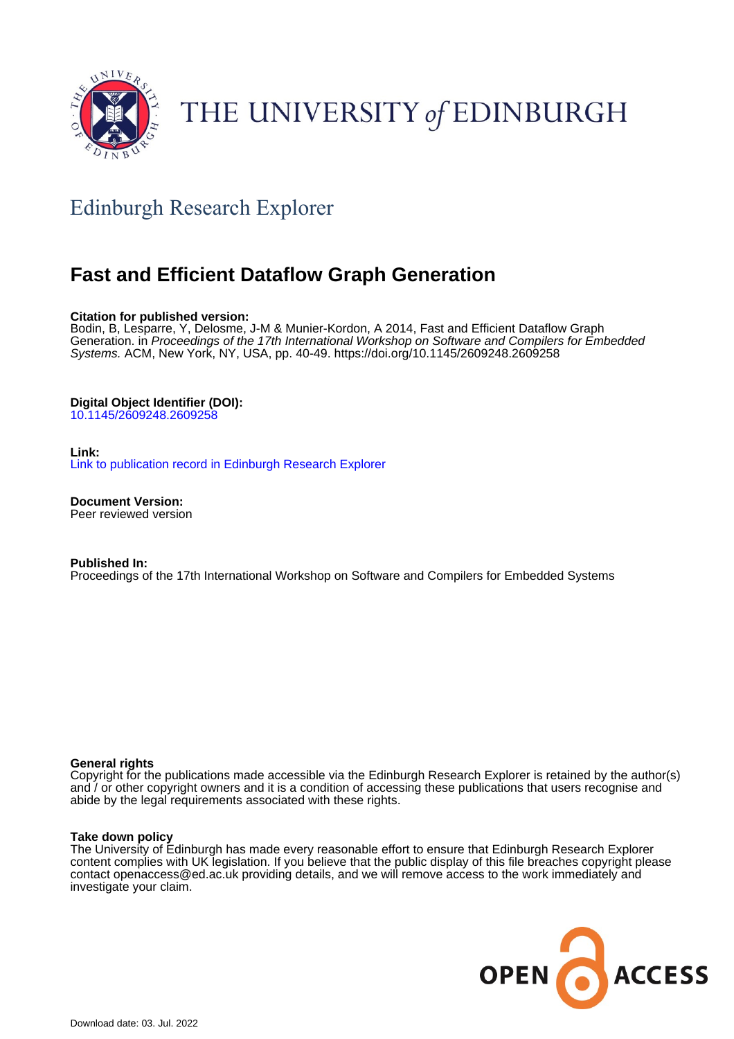

# THE UNIVERSITY of EDINBURGH

## Edinburgh Research Explorer

## **Fast and Efficient Dataflow Graph Generation**

## **Citation for published version:**

Bodin, B, Lesparre, Y, Delosme, J-M & Munier-Kordon, A 2014, Fast and Efficient Dataflow Graph Generation. in Proceedings of the 17th International Workshop on Software and Compilers for Embedded Systems. ACM, New York, NY, USA, pp. 40-49. <https://doi.org/10.1145/2609248.2609258>

## **Digital Object Identifier (DOI):**

[10.1145/2609248.2609258](https://doi.org/10.1145/2609248.2609258)

## **Link:**

[Link to publication record in Edinburgh Research Explorer](https://www.research.ed.ac.uk/en/publications/f0ab9286-abc7-4ff8-96c7-d502539d0002)

**Document Version:** Peer reviewed version

**Published In:** Proceedings of the 17th International Workshop on Software and Compilers for Embedded Systems

## **General rights**

Copyright for the publications made accessible via the Edinburgh Research Explorer is retained by the author(s) and / or other copyright owners and it is a condition of accessing these publications that users recognise and abide by the legal requirements associated with these rights.

#### **Take down policy**

The University of Edinburgh has made every reasonable effort to ensure that Edinburgh Research Explorer content complies with UK legislation. If you believe that the public display of this file breaches copyright please contact openaccess@ed.ac.uk providing details, and we will remove access to the work immediately and investigate your claim.

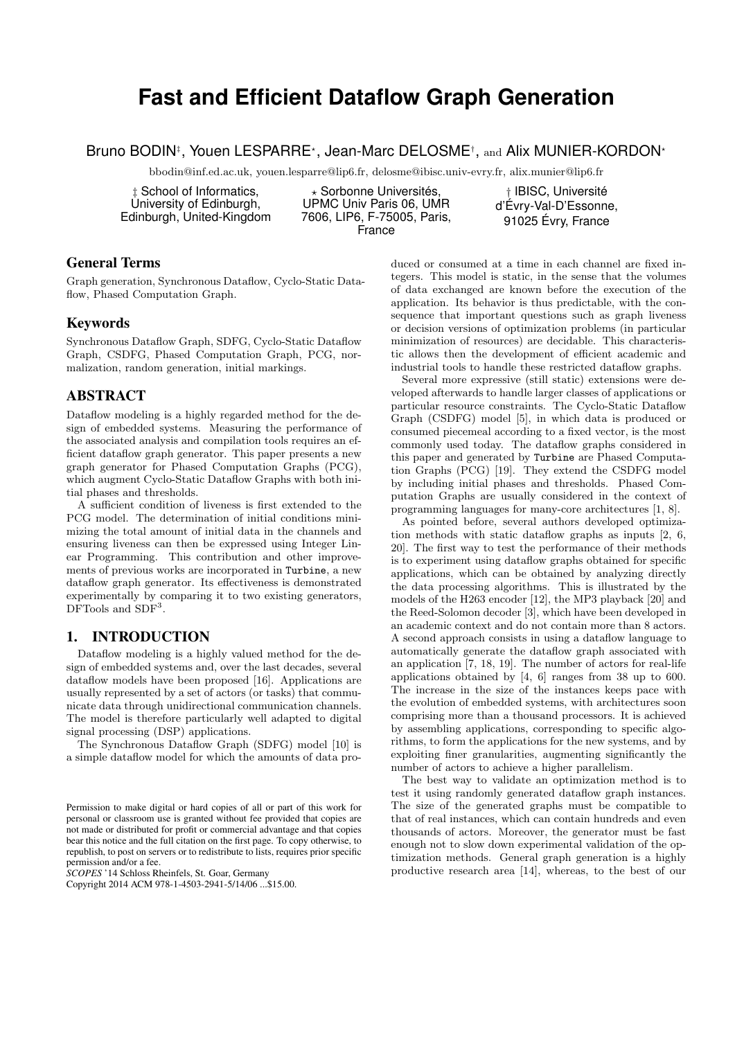## **Fast and Efficient Dataflow Graph Generation**

Bruno BODIN‡, Youen LESPARRE\*, Jean-Marc DELOSME†, and Alix MUNIER-KORDON\*

bbodin@inf.ed.ac.uk, youen.lesparre@lip6.fr, delosme@ibisc.univ-evry.fr, alix.munier@lip6.fr ‡ School of Informatics, University of Edinburgh,

Edinburgh, United-Kingdom

? Sorbonne Universités, UPMC Univ Paris 06, UMR 7606, LIP6, F-75005, Paris, France

† IBISC, Université d'Évry-Val-D'Essonne, 91025 Évry, France

## General Terms

Graph generation, Synchronous Dataflow, Cyclo-Static Dataflow, Phased Computation Graph.

## Keywords

Synchronous Dataflow Graph, SDFG, Cyclo-Static Dataflow Graph, CSDFG, Phased Computation Graph, PCG, normalization, random generation, initial markings.

## ABSTRACT

Dataflow modeling is a highly regarded method for the design of embedded systems. Measuring the performance of the associated analysis and compilation tools requires an efficient dataflow graph generator. This paper presents a new graph generator for Phased Computation Graphs (PCG), which augment Cyclo-Static Dataflow Graphs with both initial phases and thresholds.

A sufficient condition of liveness is first extended to the PCG model. The determination of initial conditions minimizing the total amount of initial data in the channels and ensuring liveness can then be expressed using Integer Linear Programming. This contribution and other improvements of previous works are incorporated in Turbine, a new dataflow graph generator. Its effectiveness is demonstrated experimentally by comparing it to two existing generators, DFTools and SDF<sup>3</sup>.

## 1. INTRODUCTION

Dataflow modeling is a highly valued method for the design of embedded systems and, over the last decades, several dataflow models have been proposed [16]. Applications are usually represented by a set of actors (or tasks) that communicate data through unidirectional communication channels. The model is therefore particularly well adapted to digital signal processing (DSP) applications.

The Synchronous Dataflow Graph (SDFG) model [10] is a simple dataflow model for which the amounts of data pro-

*SCOPES* '14 Schloss Rheinfels, St. Goar, Germany

duced or consumed at a time in each channel are fixed integers. This model is static, in the sense that the volumes of data exchanged are known before the execution of the application. Its behavior is thus predictable, with the consequence that important questions such as graph liveness or decision versions of optimization problems (in particular minimization of resources) are decidable. This characteristic allows then the development of efficient academic and industrial tools to handle these restricted dataflow graphs.

Several more expressive (still static) extensions were developed afterwards to handle larger classes of applications or particular resource constraints. The Cyclo-Static Dataflow Graph (CSDFG) model [5], in which data is produced or consumed piecemeal according to a fixed vector, is the most commonly used today. The dataflow graphs considered in this paper and generated by Turbine are Phased Computation Graphs (PCG) [19]. They extend the CSDFG model by including initial phases and thresholds. Phased Computation Graphs are usually considered in the context of programming languages for many-core architectures [1, 8].

As pointed before, several authors developed optimization methods with static dataflow graphs as inputs [2, 6, 20]. The first way to test the performance of their methods is to experiment using dataflow graphs obtained for specific applications, which can be obtained by analyzing directly the data processing algorithms. This is illustrated by the models of the H263 encoder [12], the MP3 playback [20] and the Reed-Solomon decoder [3], which have been developed in an academic context and do not contain more than 8 actors. A second approach consists in using a dataflow language to automatically generate the dataflow graph associated with an application [7, 18, 19]. The number of actors for real-life applications obtained by [4, 6] ranges from 38 up to 600. The increase in the size of the instances keeps pace with the evolution of embedded systems, with architectures soon comprising more than a thousand processors. It is achieved by assembling applications, corresponding to specific algorithms, to form the applications for the new systems, and by exploiting finer granularities, augmenting significantly the number of actors to achieve a higher parallelism.

The best way to validate an optimization method is to test it using randomly generated dataflow graph instances. The size of the generated graphs must be compatible to that of real instances, which can contain hundreds and even thousands of actors. Moreover, the generator must be fast enough not to slow down experimental validation of the optimization methods. General graph generation is a highly productive research area [14], whereas, to the best of our

Permission to make digital or hard copies of all or part of this work for personal or classroom use is granted without fee provided that copies are not made or distributed for profit or commercial advantage and that copies bear this notice and the full citation on the first page. To copy otherwise, to republish, to post on servers or to redistribute to lists, requires prior specific permission and/or a fee.

Copyright 2014 ACM 978-1-4503-2941-5/14/06 ...\$15.00.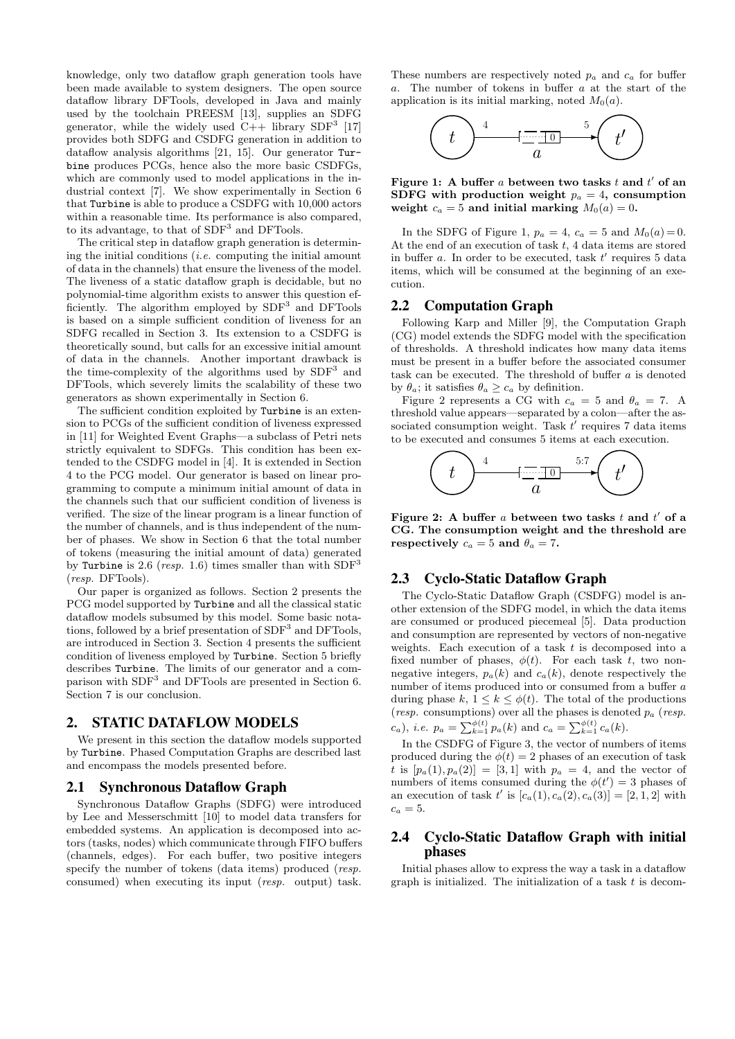knowledge, only two dataflow graph generation tools have been made available to system designers. The open source dataflow library DFTools, developed in Java and mainly used by the toolchain PREESM [13], supplies an SDFG generator, while the widely used  $C++$  library SDF<sup>3</sup> [17] provides both SDFG and CSDFG generation in addition to dataflow analysis algorithms [21, 15]. Our generator Turbine produces PCGs, hence also the more basic CSDFGs, which are commonly used to model applications in the industrial context [7]. We show experimentally in Section 6 that Turbine is able to produce a CSDFG with 10,000 actors within a reasonable time. Its performance is also compared, to its advantage, to that of  $SDF<sup>3</sup>$  and DFTools.

The critical step in dataflow graph generation is determining the initial conditions (*i.e.* computing the initial amount of data in the channels) that ensure the liveness of the model. The liveness of a static dataflow graph is decidable, but no polynomial-time algorithm exists to answer this question efficiently. The algorithm employed by  $SDF<sup>3</sup>$  and DFTools is based on a simple sufficient condition of liveness for an SDFG recalled in Section 3. Its extension to a CSDFG is theoretically sound, but calls for an excessive initial amount of data in the channels. Another important drawback is the time-complexity of the algorithms used by SDF<sup>3</sup> and DFTools, which severely limits the scalability of these two generators as shown experimentally in Section 6.

The sufficient condition exploited by Turbine is an extension to PCGs of the sufficient condition of liveness expressed in [11] for Weighted Event Graphs—a subclass of Petri nets strictly equivalent to SDFGs. This condition has been extended to the CSDFG model in [4]. It is extended in Section 4 to the PCG model. Our generator is based on linear programming to compute a minimum initial amount of data in the channels such that our sufficient condition of liveness is verified. The size of the linear program is a linear function of the number of channels, and is thus independent of the number of phases. We show in Section 6 that the total number of tokens (measuring the initial amount of data) generated by Turbine is 2.6 (resp. 1.6) times smaller than with  $SDF<sup>3</sup>$ (resp. DFTools).

Our paper is organized as follows. Section 2 presents the PCG model supported by Turbine and all the classical static dataflow models subsumed by this model. Some basic notations, followed by a brief presentation of  $SDF<sup>3</sup>$  and DFTools, are introduced in Section 3. Section 4 presents the sufficient condition of liveness employed by Turbine. Section 5 briefly describes Turbine. The limits of our generator and a comparison with  $SDF<sup>3</sup>$  and DFTools are presented in Section 6. Section 7 is our conclusion.

## 2. STATIC DATAFLOW MODELS

We present in this section the dataflow models supported by Turbine. Phased Computation Graphs are described last and encompass the models presented before.

#### 2.1 Synchronous Dataflow Graph

Synchronous Dataflow Graphs (SDFG) were introduced by Lee and Messerschmitt [10] to model data transfers for embedded systems. An application is decomposed into actors (tasks, nodes) which communicate through FIFO buffers (channels, edges). For each buffer, two positive integers specify the number of tokens (data items) produced (resp. consumed) when executing its input (resp. output) task.

These numbers are respectively noted  $p_a$  and  $c_a$  for buffer a. The number of tokens in buffer a at the start of the application is its initial marking, noted  $M_0(a)$ .



Figure 1: A buffer  $a$  between two tasks  $t$  and  $t'$  of an SDFG with production weight  $p_a = 4$ , consumption weight  $c_a = 5$  and initial marking  $M_0(a) = 0$ .

In the SDFG of Figure 1,  $p_a = 4$ ,  $c_a = 5$  and  $M_0(a) = 0$ . At the end of an execution of task  $t$ , 4 data items are stored in buffer  $a$ . In order to be executed, task  $t'$  requires 5 data items, which will be consumed at the beginning of an execution.

### 2.2 Computation Graph

Following Karp and Miller [9], the Computation Graph (CG) model extends the SDFG model with the specification of thresholds. A threshold indicates how many data items must be present in a buffer before the associated consumer task can be executed. The threshold of buffer a is denoted by  $\theta_a$ ; it satisfies  $\theta_a \geq c_a$  by definition.

Figure 2 represents a CG with  $c_a = 5$  and  $\theta_a = 7$ . A threshold value appears—separated by a colon—after the associated consumption weight. Task  $t'$  requires 7 data items to be executed and consumes 5 items at each execution.



Figure 2: A buffer  $a$  between two tasks  $t$  and  $t'$  of a CG. The consumption weight and the threshold are respectively  $c_a = 5$  and  $\theta_a = 7$ .

#### 2.3 Cyclo-Static Dataflow Graph

The Cyclo-Static Dataflow Graph (CSDFG) model is another extension of the SDFG model, in which the data items are consumed or produced piecemeal [5]. Data production and consumption are represented by vectors of non-negative weights. Each execution of a task  $t$  is decomposed into a fixed number of phases,  $\phi(t)$ . For each task t, two nonnegative integers,  $p_a(k)$  and  $c_a(k)$ , denote respectively the number of items produced into or consumed from a buffer a during phase  $k, 1 \leq k \leq \phi(t)$ . The total of the productions (resp. consumptions) over all the phases is denoted  $p_a$  (resp.  $(c_a)$ , *i.e.*  $p_a = \sum_{k=1}^{\phi(t)} p_a(k)$  and  $c_a = \sum_{k=1}^{\phi(t)} c_a(k)$ .

In the CSDFG of Figure 3, the vector of numbers of items produced during the  $\phi(t) = 2$  phases of an execution of task t is  $[p_a(1), p_a(2)] = [3, 1]$  with  $p_a = 4$ , and the vector of numbers of items consumed during the  $\phi(t') = 3$  phases of an execution of task t' is  $[c_a(1), c_a(2), c_a(3)] = [2, 1, 2]$  with  $c_a = 5$ .

## 2.4 Cyclo-Static Dataflow Graph with initial phases

Initial phases allow to express the way a task in a dataflow graph is initialized. The initialization of a task  $t$  is decom-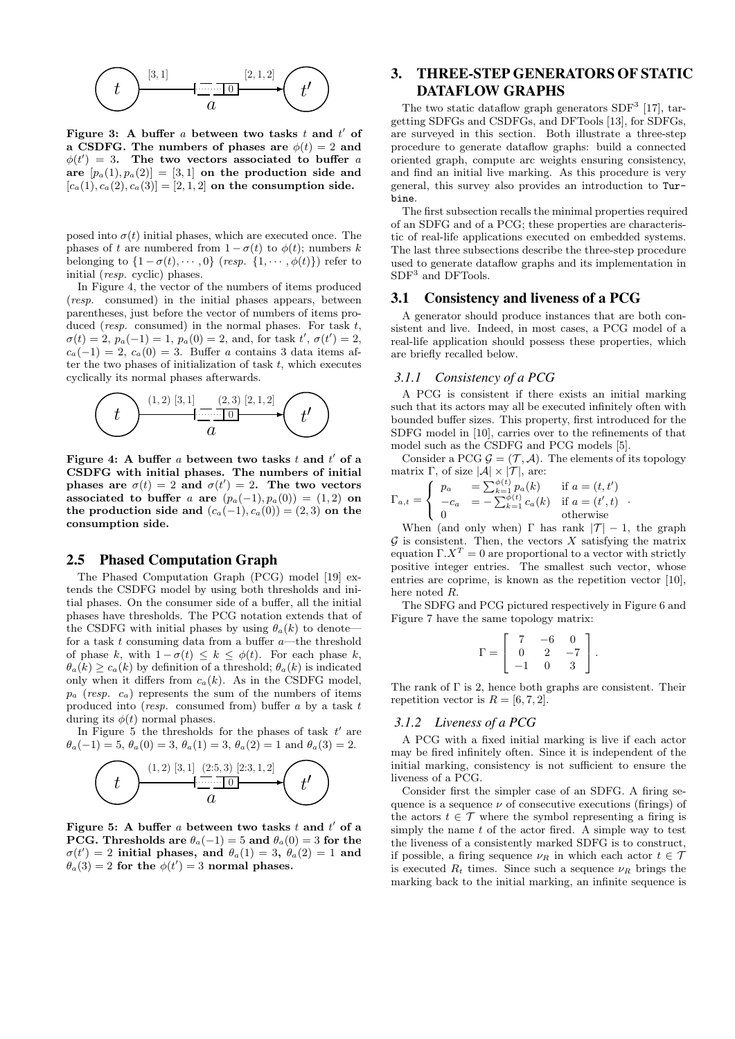

Figure 3: A buffer  $a$  between two tasks  $t$  and  $t'$  of a CSDFG. The numbers of phases are  $\phi(t) = 2$  and  $\phi(t') = 3$ . The two vectors associated to buffer a are  $[p_a(1), p_a(2)] = [3, 1]$  on the production side and  $[c_a(1), c_a(2), c_a(3)] = [2, 1, 2]$  on the consumption side.

posed into  $\sigma(t)$  initial phases, which are executed once. The phases of t are numbered from  $1 - \sigma(t)$  to  $\phi(t)$ ; numbers k belonging to  $\{1-\sigma(t), \cdots, 0\}$  (resp.  $\{1, \cdots, \phi(t)\}$ ) refer to initial (resp. cyclic) phases.

In Figure 4, the vector of the numbers of items produced (resp. consumed) in the initial phases appears, between parentheses, just before the vector of numbers of items produced (resp. consumed) in the normal phases. For task  $t$ ,  $\sigma(t) = 2, p_a(-1) = 1, p_a(0) = 2, \text{ and, for task } t', \sigma(t') = 2,$  $c_a(-1) = 2, c_a(0) = 3.$  Buffer a contains 3 data items after the two phases of initialization of task  $t$ , which executes cyclically its normal phases afterwards.



Figure 4: A buffer  $a$  between two tasks  $t$  and  $t'$  of a CSDFG with initial phases. The numbers of initial phases are  $\sigma(t) = 2$  and  $\sigma(t') = 2$ . The two vectors associated to buffer a are  $(p_a(-1), p_a(0)) = (1, 2)$  on the production side and  $(c_a(-1), c_a(0)) = (2, 3)$  on the consumption side.

#### 2.5 Phased Computation Graph

The Phased Computation Graph (PCG) model [19] extends the CSDFG model by using both thresholds and initial phases. On the consumer side of a buffer, all the initial phases have thresholds. The PCG notation extends that of the CSDFG with initial phases by using  $\theta_a(k)$  to denotefor a task t consuming data from a buffer  $a$ —the threshold of phase k, with  $1 - \sigma(t) \leq k \leq \phi(t)$ . For each phase k,  $\theta_a(k) \geq c_a(k)$  by definition of a threshold;  $\theta_a(k)$  is indicated only when it differs from  $c_a(k)$ . As in the CSDFG model,  $p_a$  (resp.  $c_a$ ) represents the sum of the numbers of items produced into ( $resp.$  consumed from) buffer a by a task  $t$ during its  $\phi(t)$  normal phases.

In Figure 5 the thresholds for the phases of task  $t'$  are  $\theta_a(-1) = 5, \theta_a(0) = 3, \theta_a(1) = 3, \theta_a(2) = 1$  and  $\theta_a(3) = 2$ .



Figure 5: A buffer  $a$  between two tasks  $t$  and  $t'$  of a **PCG.** Thresholds are  $\theta_a(-1) = 5$  and  $\theta_a(0) = 3$  for the  $\sigma(t') = 2$  initial phases, and  $\theta_a(1) = 3$ ,  $\theta_a(2) = 1$  and  $\theta_a(3) = 2$  for the  $\phi(t') = 3$  normal phases.

## 3. THREE-STEP GENERATORS OF STATIC DATAFLOW GRAPHS

The two static dataflow graph generators  $SDF<sup>3</sup>$  [17], targetting SDFGs and CSDFGs, and DFTools [13], for SDFGs, are surveyed in this section. Both illustrate a three-step procedure to generate dataflow graphs: build a connected oriented graph, compute arc weights ensuring consistency, and find an initial live marking. As this procedure is very general, this survey also provides an introduction to Turbine.

The first subsection recalls the minimal properties required of an SDFG and of a PCG; these properties are characteristic of real-life applications executed on embedded systems. The last three subsections describe the three-step procedure used to generate dataflow graphs and its implementation in SDF<sup>3</sup> and DFTools.

## 3.1 Consistency and liveness of a PCG

A generator should produce instances that are both consistent and live. Indeed, in most cases, a PCG model of a real-life application should possess these properties, which are briefly recalled below.

#### *3.1.1 Consistency of a PCG*

A PCG is consistent if there exists an initial marking such that its actors may all be executed infinitely often with bounded buffer sizes. This property, first introduced for the SDFG model in [10], carries over to the refinements of that model such as the CSDFG and PCG models [5].

Consider a PCG  $\mathcal{G} = (\mathcal{T}, \mathcal{A})$ . The elements of its topology matrix Γ, of size  $|\mathcal{A}| \times |\mathcal{T}|$ , are:

$$
\Gamma_{a,t} = \begin{cases}\n p_a &= \sum_{k=1}^{\phi(t)} p_a(k) & \text{if } a = (t, t') \\
 -c_a &= -\sum_{k=1}^{\phi(t)} c_a(k) & \text{if } a = (t', t) \\
 0 & \text{otherwise}\n\end{cases}.
$$

When (and only when)  $\Gamma$  has rank  $|\mathcal{T}| - 1$ , the graph  $G$  is consistent. Then, the vectors  $X$  satisfying the matrix equation  $\Gamma \cdot X^T = 0$  are proportional to a vector with strictly positive integer entries. The smallest such vector, whose entries are coprime, is known as the repetition vector [10], here noted R.

The SDFG and PCG pictured respectively in Figure 6 and Figure 7 have the same topology matrix:

$$
\Gamma = \left[ \begin{array}{rrr} 7 & -6 & 0 \\ 0 & 2 & -7 \\ -1 & 0 & 3 \end{array} \right].
$$

The rank of  $\Gamma$  is 2, hence both graphs are consistent. Their repetition vector is  $R = [6, 7, 2]$ .

#### *3.1.2 Liveness of a PCG*

A PCG with a fixed initial marking is live if each actor may be fired infinitely often. Since it is independent of the initial marking, consistency is not sufficient to ensure the liveness of a PCG.

Consider first the simpler case of an SDFG. A firing sequence is a sequence  $\nu$  of consecutive executions (firings) of the actors  $t \in \mathcal{T}$  where the symbol representing a firing is simply the name  $t$  of the actor fired. A simple way to test the liveness of a consistently marked SDFG is to construct, if possible, a firing sequence  $\nu_R$  in which each actor  $t \in \mathcal{T}$ is executed  $R_t$  times. Since such a sequence  $\nu_R$  brings the marking back to the initial marking, an infinite sequence is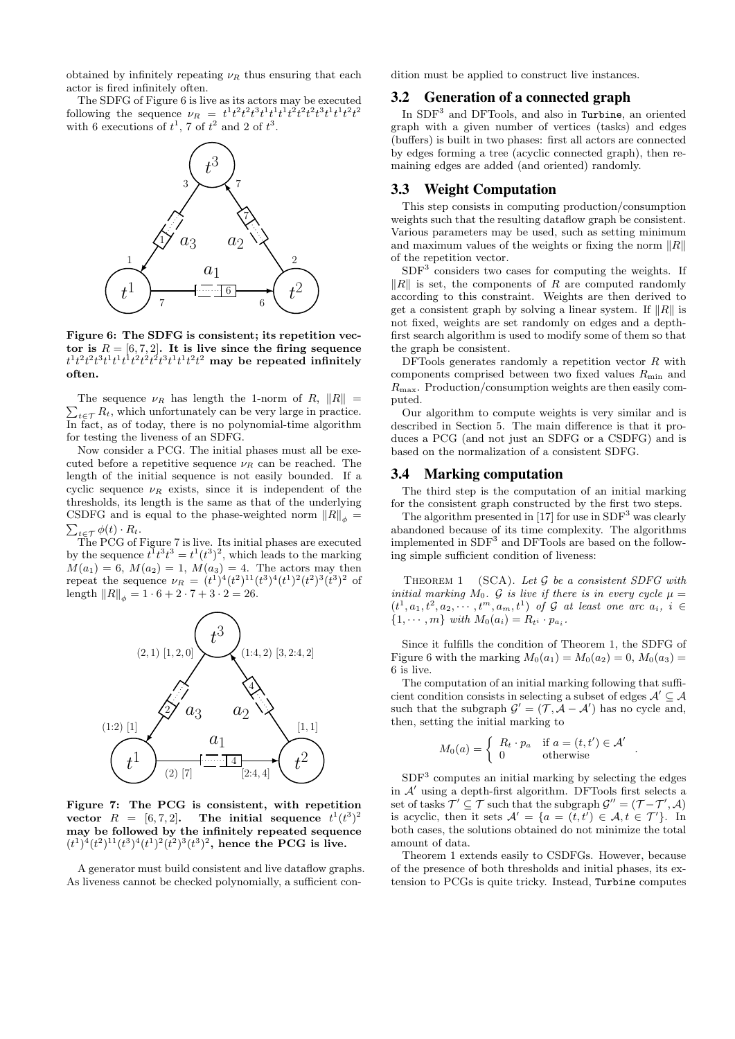obtained by infinitely repeating  $\nu_R$  thus ensuring that each actor is fired infinitely often.

The SDFG of Figure 6 is live as its actors may be executed following the sequence  $\nu_R = t^1 t^2 t^2 t^3 t^1 t^1 t^1 t^2 t^2 t^3 t^1 t^1 t^2 t^2$ with 6 executions of  $t^1$ , 7 of  $t^2$  and 2 of  $t^3$ .



Figure 6: The SDFG is consistent; its repetition vector is  $R = [6, 7, 2]$ . It is live since the firing sequence  $t^1t^2t^2t^3t^1t^1t^1t^2t^2t^2t^3t^1t^1t^2t^2$  may be repeated infinitely often.

 $\sum_{t \in \mathcal{T}} R_t$ , which unfortunately can be very large in practice. The sequence  $\nu_R$  has length the 1-norm of R,  $||R|| =$ In fact, as of today, there is no polynomial-time algorithm for testing the liveness of an SDFG.

Now consider a PCG. The initial phases must all be executed before a repetitive sequence  $\nu_R$  can be reached. The length of the initial sequence is not easily bounded. If a cyclic sequence  $\nu_R$  exists, since it is independent of the thresholds, its length is the same as that of the underlying CSDFG and is equal to the phase-weighted norm  $||R||_{\phi} =$  $\sum_{t \in \mathcal{T}} \phi(t) \cdot R_t.$ 

The PCG of Figure 7 is live. Its initial phases are executed by the sequence  $t^1 t^3 t^3 = t^1 (t^3)^2$ , which leads to the marking  $M(a_1) = 6, M(a_2) = 1, M(a_3) = 4.$  The actors may then repeat the sequence  $\nu_R = (t^1)^4 (t^2)^{11} (t^3)^4 (t^1)^2 (t^2)^3 (t^3)^2$  of length  $||R||_{\phi} = 1 \cdot 6 + 2 \cdot 7 + 3 \cdot 2 = 26.$ 



Figure 7: The PCG is consistent, with repetition vector  $R = [6, 7, 2]$ . The initial sequence  $t^1(t^3)^2$ may be followed by the infinitely repeated sequence  $(t^{1})^{4}(t^{2})^{11}(t^{3})^{4}(t^{1})^{2}(t^{2})^{3}(t^{3})^{2}$ , hence the PCG is live.

A generator must build consistent and live dataflow graphs. As liveness cannot be checked polynomially, a sufficient condition must be applied to construct live instances.

## 3.2 Generation of a connected graph

In SDF<sup>3</sup> and DFTools, and also in Turbine, an oriented graph with a given number of vertices (tasks) and edges (buffers) is built in two phases: first all actors are connected by edges forming a tree (acyclic connected graph), then remaining edges are added (and oriented) randomly.

#### 3.3 Weight Computation

This step consists in computing production/consumption weights such that the resulting dataflow graph be consistent. Various parameters may be used, such as setting minimum and maximum values of the weights or fixing the norm  $||R||$ of the repetition vector.

 $SDF<sup>3</sup>$  considers two cases for computing the weights. If  $\Vert R \Vert$  is set, the components of R are computed randomly according to this constraint. Weights are then derived to get a consistent graph by solving a linear system. If  $||R||$  is not fixed, weights are set randomly on edges and a depthfirst search algorithm is used to modify some of them so that the graph be consistent.

DFTools generates randomly a repetition vector  $R$  with components comprised between two fixed values  $R_{\text{min}}$  and  $R_{\text{max}}$ . Production/consumption weights are then easily computed.

Our algorithm to compute weights is very similar and is described in Section 5. The main difference is that it produces a PCG (and not just an SDFG or a CSDFG) and is based on the normalization of a consistent SDFG.

#### 3.4 Marking computation

The third step is the computation of an initial marking for the consistent graph constructed by the first two steps.

The algorithm presented in  $[17]$  for use in  $SDF<sup>3</sup>$  was clearly abandoned because of its time complexity. The algorithms implemented in SDF<sup>3</sup> and DFTools are based on the following simple sufficient condition of liveness:

THEOREM 1 (SCA). Let  $\mathcal G$  be a consistent SDFG with initial marking  $M_0$ . G is live if there is in every cycle  $\mu =$  $(t^1, a_1, t^2, a_2, \cdots, t^m, a_m, t^1)$  of G at least one arc  $a_i, i \in$  $\{1, \dots, m\}$  with  $M_0(a_i) = R_{t^i} \cdot p_{a_i}$ .

Since it fulfills the condition of Theorem 1, the SDFG of Figure 6 with the marking  $M_0(a_1) = M_0(a_2) = 0$ ,  $M_0(a_3) =$ 6 is live.

The computation of an initial marking following that sufficient condition consists in selecting a subset of edges  $\mathcal{A}' \subseteq \mathcal{A}$ such that the subgraph  $\mathcal{G}' = (\mathcal{T}, \mathcal{A} - \mathcal{A}')$  has no cycle and, then, setting the initial marking to

$$
M_0(a) = \begin{cases} R_t \cdot p_a & \text{if } a = (t, t') \in \mathcal{A}' \\ 0 & \text{otherwise} \end{cases}.
$$

 $SDF<sup>3</sup>$  computes an initial marking by selecting the edges in  $A'$  using a depth-first algorithm. DFTools first selects a set of tasks  $\mathcal{T}' \subseteq \mathcal{T}$  such that the subgraph  $\mathcal{G}'' = (\mathcal{T} - \mathcal{T}', \mathcal{A})$ is acyclic, then it sets  $\mathcal{A}' = \{a = (t, t') \in \mathcal{A}, t \in \mathcal{T}'\}$ . In both cases, the solutions obtained do not minimize the total amount of data.

Theorem 1 extends easily to CSDFGs. However, because of the presence of both thresholds and initial phases, its extension to PCGs is quite tricky. Instead, Turbine computes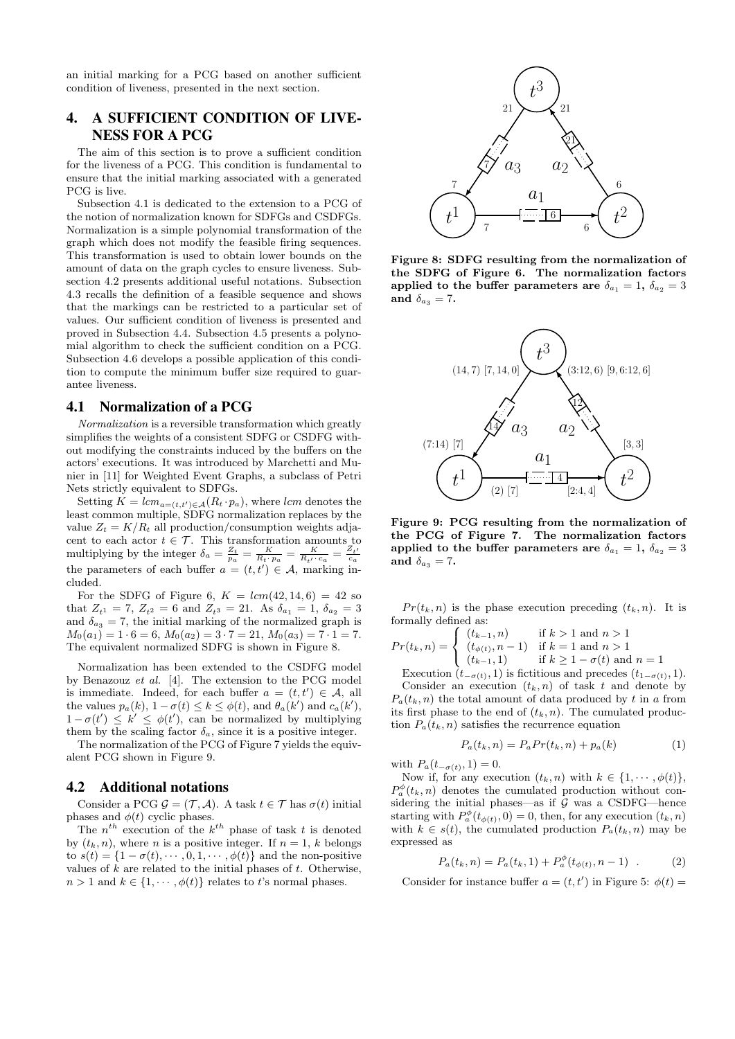an initial marking for a PCG based on another sufficient condition of liveness, presented in the next section.

## 4. A SUFFICIENT CONDITION OF LIVE-NESS FOR A PCG

The aim of this section is to prove a sufficient condition for the liveness of a PCG. This condition is fundamental to ensure that the initial marking associated with a generated PCG is live.

Subsection 4.1 is dedicated to the extension to a PCG of the notion of normalization known for SDFGs and CSDFGs. Normalization is a simple polynomial transformation of the graph which does not modify the feasible firing sequences. This transformation is used to obtain lower bounds on the amount of data on the graph cycles to ensure liveness. Subsection 4.2 presents additional useful notations. Subsection 4.3 recalls the definition of a feasible sequence and shows that the markings can be restricted to a particular set of values. Our sufficient condition of liveness is presented and proved in Subsection 4.4. Subsection 4.5 presents a polynomial algorithm to check the sufficient condition on a PCG. Subsection 4.6 develops a possible application of this condition to compute the minimum buffer size required to guarantee liveness.

#### 4.1 Normalization of a PCG

Normalization is a reversible transformation which greatly simplifies the weights of a consistent SDFG or CSDFG without modifying the constraints induced by the buffers on the actors' executions. It was introduced by Marchetti and Munier in [11] for Weighted Event Graphs, a subclass of Petri Nets strictly equivalent to SDFGs.

Setting  $K = lcm_{a=(t,t')\in \mathcal{A}}(R_t \cdot p_a)$ , where lcm denotes the least common multiple, SDFG normalization replaces by the value  $Z_t = K/R_t$  all production/consumption weights adjacent to each actor  $t \in \mathcal{T}$ . This transformation amounts to multiplying by the integer  $\delta_a = \frac{Z_t}{p_a} = \frac{K}{R_t \cdot p_a} = \frac{K}{R_{t'} \cdot c_a} = \frac{Z_{t'}}{c_a}$ <br>the parameters of each buffer  $a = (t, t') \in \mathcal{A}$ , marking included.

For the SDFG of Figure 6,  $K = lcm(42, 14, 6) = 42$  so that  $Z_{t^1} = 7$ ,  $Z_{t^2} = 6$  and  $Z_{t^3} = 21$ . As  $\delta_{a_1} = 1$ ,  $\delta_{a_2} = 3$ and  $\delta_{a_3} = 7$ , the initial marking of the normalized graph is  $M_0(a_1) = 1 \cdot 6 = 6, M_0(a_2) = 3 \cdot 7 = 21, M_0(a_3) = 7 \cdot 1 = 7.$ The equivalent normalized SDFG is shown in Figure 8.

Normalization has been extended to the CSDFG model by Benazouz et al. [4]. The extension to the PCG model is immediate. Indeed, for each buffer  $a = (t, t') \in \mathcal{A}$ , all the values  $p_a(k)$ ,  $1 - \sigma(t) \le k \le \phi(t)$ , and  $\theta_a(k')$  and  $c_a(k')$ ,  $1 - \sigma(t') \leq k' \leq \phi(t')$ , can be normalized by multiplying them by the scaling factor  $\delta_a$ , since it is a positive integer.

The normalization of the PCG of Figure 7 yields the equivalent PCG shown in Figure 9.

#### 4.2 Additional notations

Consider a PCG  $\mathcal{G} = (\mathcal{T}, \mathcal{A})$ . A task  $t \in \mathcal{T}$  has  $\sigma(t)$  initial phases and  $\phi(t)$  cyclic phases.

The  $n^{th}$  execution of the  $k^{th}$  phase of task t is denoted by  $(t_k, n)$ , where *n* is a positive integer. If  $n = 1$ , *k* belongs to  $s(t) = \{1 - \sigma(t), \dots, 0, 1, \dots, \phi(t)\}\$ and the non-positive values of  $k$  are related to the initial phases of  $t$ . Otherwise,  $n > 1$  and  $k \in \{1, \dots, \phi(t)\}\$  relates to t's normal phases.



Figure 8: SDFG resulting from the normalization of the SDFG of Figure 6. The normalization factors applied to the buffer parameters are  $\delta_{a_1} = 1, \ \delta_{a_2} = 3$ and  $\delta_{a_3} = 7$ .



Figure 9: PCG resulting from the normalization of the PCG of Figure 7. The normalization factors applied to the buffer parameters are  $\delta_{a_1} = 1$ ,  $\delta_{a_2} = 3$ and  $\delta_{a_3} = 7$ .

 $Pr(t_k, n)$  is the phase execution preceding  $(t_k, n)$ . It is formally defined as:

$$
Pr(t_k, n) = \begin{cases} (t_{k-1}, n) & \text{if } k > 1 \text{ and } n > 1 \\ (t_{\phi(t)}, n-1) & \text{if } k = 1 \text{ and } n > 1 \\ (t_{k-1}, 1) & \text{if } k \ge 1 - \sigma(t) \text{ and } n = 1 \end{cases}
$$

Execution  $(t_{-\sigma(t)}, 1)$  is fictitious and precedes  $(t_{1-\sigma(t)}, 1)$ . Consider an execution  $(t_k, n)$  of task t and denote by  $P_a(t_k, n)$  the total amount of data produced by t in a from

its first phase to the end of  $(t_k, n)$ . The cumulated production  $P_a(t_k, n)$  satisfies the recurrence equation

$$
P_a(t_k, n) = P_a Pr(t_k, n) + p_a(k)
$$
\n<sup>(1)</sup>

with  $P_a(t_{-\sigma(t)}, 1) = 0$ .

Now if, for any execution  $(t_k, n)$  with  $k \in \{1, \dots, \phi(t)\},$  $P_a^{\phi}(t_k, n)$  denotes the cumulated production without considering the initial phases—as if  $G$  was a CSDFG—hence starting with  $P_a^{\phi}(t_{\phi(t)}, 0) = 0$ , then, for any execution  $(t_k, n)$ with  $k \in s(t)$ , the cumulated production  $P_a(t_k, n)$  may be expressed as

$$
P_a(t_k, n) = P_a(t_k, 1) + P_a^{\phi}(t_{\phi(t)}, n - 1) \quad . \tag{2}
$$

Consider for instance buffer  $a = (t, t')$  in Figure 5:  $\phi(t) =$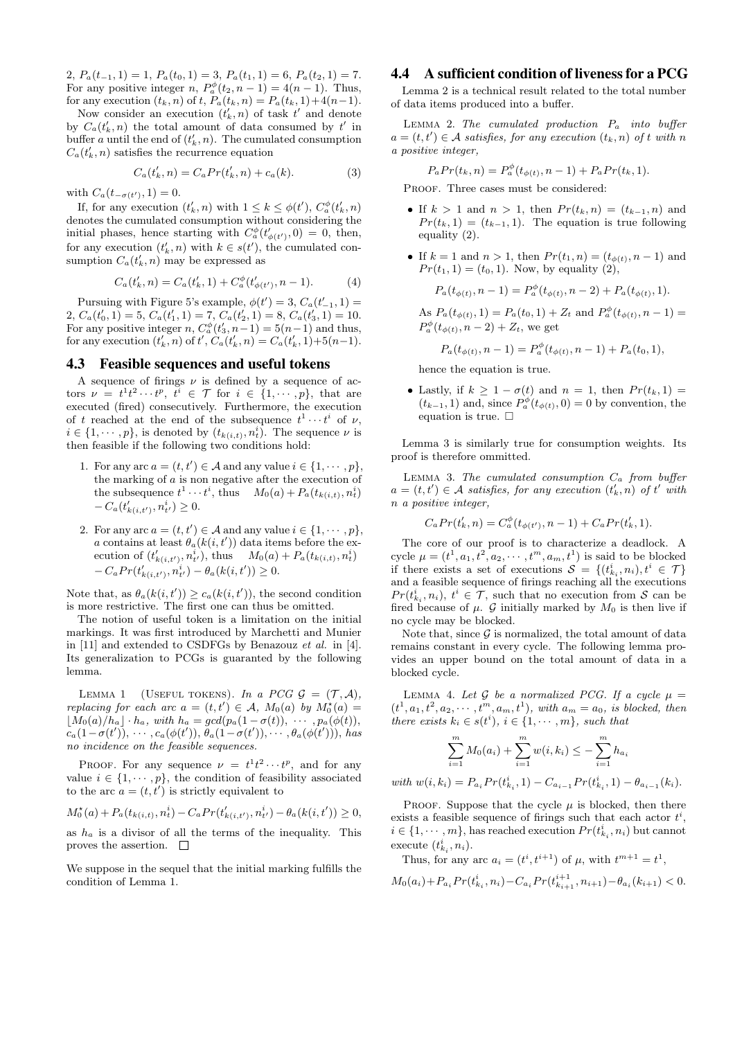2,  $P_a(t_{-1}, 1) = 1$ ,  $P_a(t_0, 1) = 3$ ,  $P_a(t_1, 1) = 6$ ,  $P_a(t_2, 1) = 7$ . For any positive integer n,  $P_a^{\phi}(t_2, n-1) = 4(n-1)$ . Thus, for any execution  $(t_k, n)$  of  $t, P_a(t_k, n) = P_a(t_k, 1) + 4(n-1)$ .

Now consider an execution  $(t'_{k}, n)$  of task  $t'$  and denote by  $C_a(t'_k, n)$  the total amount of data consumed by t' in buffer a until the end of  $(t'_{k}, n)$ . The cumulated consumption  $C_a(t'_k, n)$  satisfies the recurrence equation

$$
C_a(t'_k, n) = C_a Pr(t'_k, n) + c_a(k).
$$
 (3)

with  $C_a(t_{-\sigma(t')}, 1) = 0.$ 

If, for any execution  $(t'_k, n)$  with  $1 \leq k \leq \phi(t')$ ,  $C_a^{\phi}(t'_k, n)$ denotes the cumulated consumption without considering the initial phases, hence starting with  $C_a^{\phi}(t'_{\phi(t')},0) = 0$ , then, for any execution  $(t'_{k}, n)$  with  $k \in s(t')$ , the cumulated consumption  $C_a(t'_k, n)$  may be expressed as

$$
C_a(t'_k, n) = C_a(t'_k, 1) + C_a^{\phi}(t'_{\phi(t')}, n - 1).
$$
 (4)

Pursuing with Figure 5's example,  $\phi(t') = 3, C_a(t'_{-1}, 1) =$ 2,  $C_a(t'_0, 1) = 5$ ,  $C_a(t'_1, 1) = 7$ ,  $C_a(t'_2, 1) = 8$ ,  $C_a(t'_3, 1) = 10$ . For any positive integer  $n, C_a^{\phi}(t'_3, n-1) = 5(n-1)$  and thus, for any execution  $(t'_k, n)$  of  $t', C_a(t'_k, n) = C_a(t'_k, 1) + 5(n-1)$ .

#### 4.3 Feasible sequences and useful tokens

A sequence of firings  $\nu$  is defined by a sequence of actors  $\nu = t^1 t^2 \cdots t^p$ ,  $t^i \in \mathcal{T}$  for  $i \in \{1, \cdots, p\}$ , that are executed (fired) consecutively. Furthermore, the execution of t reached at the end of the subsequence  $t^1 \cdots t^i$  of  $\nu$ ,  $i \in \{1, \dots, p\}$ , is denoted by  $(t_{k(i,t)}, n_t^i)$ . The sequence  $\nu$  is then feasible if the following two conditions hold:

- 1. For any arc  $a = (t, t') \in \mathcal{A}$  and any value  $i \in \{1, \cdots, p\},\$ the marking of  $a$  is non negative after the execution of the subsequence  $t^1 \cdots t^i$ , thus  $M_0(a) + P_a(t_{k(i,t)}, n_t^i)$  $-C_a(t'_{k(i,t')}, n_{t'}^i) \geq 0.$
- 2. For any arc  $a = (t, t') \in \mathcal{A}$  and any value  $i \in \{1, \cdots, p\},\$ a contains at least  $\theta_a(k(i, t'))$  data items before the execution of  $(t'_{k(i,t')}, n_{t'}^i)$ , thus  $M_0(a) + P_a(t_{k(i,t)}, n_t^i)$  $-C_a Pr(t'_{k(i,t')}, n_{t'}^i) - \theta_a(k(i,t')) \geq 0.$

Note that, as  $\theta_a(k(i, t')) \geq c_a(k(i, t'))$ , the second condition is more restrictive. The first one can thus be omitted.

The notion of useful token is a limitation on the initial markings. It was first introduced by Marchetti and Munier in [11] and extended to CSDFGs by Benazouz et al. in [4]. Its generalization to PCGs is guaranted by the following lemma.

LEMMA 1 (USEFUL TOKENS). In a PCG  $\mathcal{G} = (\mathcal{T}, \mathcal{A}),$ replacing for each arc  $a = (t, t') \in \mathcal{A}$ ,  $M_0(a)$  by  $M_0^{\star}(a) =$  $\lfloor M_0(a)/h_a \rfloor \cdot h_a$ , with  $h_a = gcd(p_a(1 - \sigma(t)), \cdots, p_a(\phi(t)),$  $c_a(1-\sigma(t'))$ ,  $\dots$ ,  $c_a(\phi(t'))$ ,  $\theta_a(1-\sigma(t'))$ ,  $\dots$ ,  $\theta_a(\phi(t'))$ ), has no incidence on the feasible sequences.

PROOF. For any sequence  $\nu = t^1 t^2 \cdots t^p$ , and for any value  $i \in \{1, \dots, p\}$ , the condition of feasibility associated to the arc  $a = (t, t')$  is strictly equivalent to

$$
M_0^{\star}(a) + P_a(t_{k(i,t)}, n_t^i) - C_a Pr(t'_{k(i,t')}, n_{t'}^i) - \theta_a(k(i,t')) \ge 0,
$$

as  $h_a$  is a divisor of all the terms of the inequality. This proves the assertion.  $\square$ 

We suppose in the sequel that the initial marking fulfills the condition of Lemma 1.

## 4.4 A sufficient condition of liveness for a PCG

Lemma 2 is a technical result related to the total number of data items produced into a buffer.

LEMMA 2. The cumulated production  $P_a$  into buffer  $a = (t, t') \in \mathcal{A}$  satisfies, for any execution  $(t_k, n)$  of t with n a positive integer,

$$
P_a Pr(t_k, n) = P_a^{\phi}(t_{\phi(t)}, n-1) + P_a Pr(t_k, 1).
$$

PROOF. Three cases must be considered:

- If  $k > 1$  and  $n > 1$ , then  $Pr(t_k, n) = (t_{k-1}, n)$  and  $Pr(t_k, 1) = (t_{k-1}, 1)$ . The equation is true following equality (2).
- If  $k = 1$  and  $n > 1$ , then  $Pr(t_1, n) = (t_{\phi(t)}, n 1)$  and  $Pr(t_1, 1) = (t_0, 1)$ . Now, by equality (2),

$$
P_a(t_{\phi(t)}, n-1) = P_a^{\phi}(t_{\phi(t)}, n-2) + P_a(t_{\phi(t)}, 1).
$$

As  $P_a(t_{\phi(t)}, 1) = P_a(t_0, 1) + Z_t$  and  $P_a^{\phi}(t_{\phi(t)}, n - 1) =$  $P_a^{\phi}(t_{\phi(t)}, n-2) + Z_t$ , we get

$$
P_a(t_{\phi(t)}, n-1) = P_a^{\phi}(t_{\phi(t)}, n-1) + P_a(t_0, 1),
$$

hence the equation is true.

• Lastly, if  $k \geq 1 - \sigma(t)$  and  $n = 1$ , then  $Pr(t_k, 1) =$  $(t_{k-1}, 1)$  and, since  $P_a^{\phi}(t_{\phi(t)}, 0) = 0$  by convention, the equation is true.  $\Box$ 

Lemma 3 is similarly true for consumption weights. Its proof is therefore ommitted.

LEMMA 3. The cumulated consumption  $C_a$  from buffer  $a = (t, t') \in \mathcal{A}$  satisfies, for any execution  $(t'_{k}, n)$  of  $t'$  with n a positive integer,

$$
C_a Pr(t'_k, n) = C_a^{\phi}(t_{\phi(t')}, n-1) + C_a Pr(t'_k, 1).
$$

The core of our proof is to characterize a deadlock. A cycle  $\mu = (t^1, a_1, t^2, a_2, \dots, t^m, a_m, t^1)$  is said to be blocked if there exists a set of executions  $S = \{(t_{k_i}^i, n_i), t^i \in \mathcal{T}\}\$ and a feasible sequence of firings reaching all the executions  $Pr(t_{k_i}^i, n_i), t^i \in \mathcal{T}$ , such that no execution from S can be fired because of  $\mu$ .  $\mathcal G$  initially marked by  $M_0$  is then live if no cycle may be blocked.

Note that, since  $\mathcal G$  is normalized, the total amount of data remains constant in every cycle. The following lemma provides an upper bound on the total amount of data in a blocked cycle.

LEMMA 4. Let G be a normalized PCG. If a cycle  $\mu =$  $(t^1, a_1, t^2, a_2, \cdots, t^m, a_m, t^1), \text{ with } a_m = a_0, \text{ is blocked, then}$ there exists  $k_i \in s(t^i), i \in \{1, \dots, m\}$ , such that

$$
\sum_{i=1}^{m} M_0(a_i) + \sum_{i=1}^{m} w(i, k_i) \leq -\sum_{i=1}^{m} h_{a_i}
$$

with  $w(i, k_i) = P_{a_i} Pr(t_{k_i}^i, 1) - C_{a_{i-1}} Pr(t_{k_i}^i, 1) - \theta_{a_{i-1}}(k_i)$ .

PROOF. Suppose that the cycle  $\mu$  is blocked, then there exists a feasible sequence of firings such that each actor  $t^i$ ,  $i \in \{1, \cdots, m\}$ , has reached execution  $Pr(t_{k_i}^i, n_i)$  but cannot execute  $(t_{k_i}^i, n_i)$ .

Thus, for any arc 
$$
a_i = (t^i, t^{i+1})
$$
 of  $\mu$ , with  $t^{m+1} = t^1$ ,

$$
M_0(a_i) + P_{a_i}Pr(t_{k_i}^i, n_i) - C_{a_i}Pr(t_{k_{i+1}}^{i+1}, n_{i+1}) - \theta_{a_i}(k_{i+1}) < 0.
$$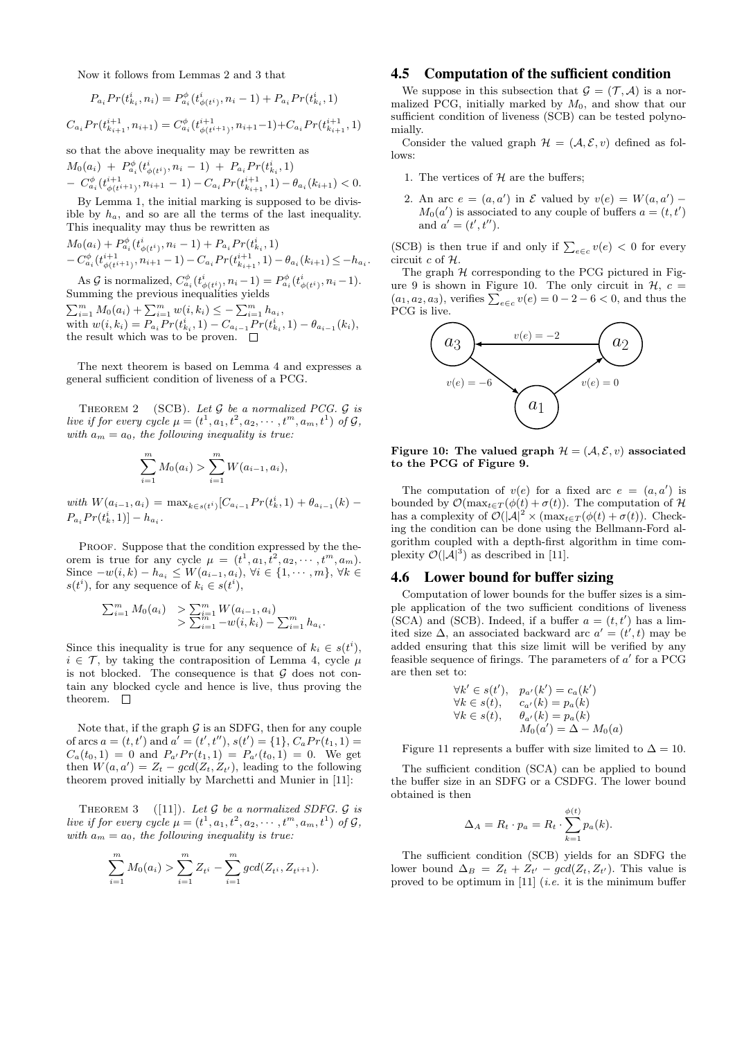Now it follows from Lemmas 2 and 3 that

$$
P_{a_i}Pr(t_{k_i}^i, n_i) = P_{a_i}^{\phi}(t_{\phi(t_i)}^i, n_i - 1) + P_{a_i}Pr(t_{k_i}^i, 1)
$$
  

$$
C_{a_i}Pr(t_{k_{i+1}}^{i+1}, n_{i+1}) = C_{a_i}^{\phi}(t_{\phi(t_i+1)}^{i+1}, n_{i+1}-1) + C_{a_i}Pr(t_{k_{i+1}}^{i+1}, 1)
$$

so that the above inequality may be rewritten as  $M_0(a_i) + P_{a_i}^{\phi}(t_{\phi(t_i)}^i, n_i - 1) + P_{a_i}Pr(t_{k_i}^i, 1)$ 

$$
- C_{a_i}^{\phi}(t^{i+1}_{\phi(t^{i+1})}, n_{i+1} - 1) - C_{a_i}Pr(t^{i+1}_{k_{i+1}}, 1) - \theta_{a_i}(k_{i+1}) < 0.
$$

By Lemma 1, the initial marking is supposed to be divisible by  $h_a$ , and so are all the terms of the last inequality. This inequality may thus be rewritten as

$$
M_0(a_i) + P_{a_i}^{\phi}(t_{\phi(t_i)}, n_i - 1) + P_{a_i}Pr(t_{k_i}, 1) - C_{a_i}^{\phi}(t_{\phi(t_i+1)}, n_{i+1} - 1) - C_{a_i}Pr(t_{k_{i+1}}^{i+1}, 1) - \theta_{a_i}(k_{i+1}) \le -h_{a_i}.
$$

As G is normalized,  $C_{a_i}^{\phi}(t_{\phi(t_i)}^i, n_i-1) = P_{a_i}^{\phi}(t_{\phi(t_i)}^i, n_i-1)$ . Summing the previous inequalities yields

 $\sum_{i=1}^{m} M_0(a_i) + \sum_{i=1}^{m} w(i, k_i) \leq -\sum_{i=1}^{m} h_{a_i},$ with  $w(i, k_i) = P_{a_i} Pr(t_{k_i}^i, 1) - C_{a_{i-1}} Pr(t_{k_i}^i, 1) - \theta_{a_{i-1}}(k_i),$ the result which was to be proven.

The next theorem is based on Lemma 4 and expresses a general sufficient condition of liveness of a PCG.

THEOREM 2 (SCB). Let  $\mathcal G$  be a normalized PCG.  $\mathcal G$  is live if for every cycle  $\mu = (t^1, a_1, t^2, a_2, \cdots, t^m, a_m, t^1)$  of  $\mathcal{G},$ with  $a_m = a_0$ , the following inequality is true:

$$
\sum_{i=1}^{m} M_0(a_i) > \sum_{i=1}^{m} W(a_{i-1}, a_i),
$$

with  $W(a_{i-1}, a_i) = \max_{k \in s(t^i)} [C_{a_{i-1}} Pr(t^i_k, 1) + \theta_{a_{i-1}}(k) P_{a_i} Pr(t_k^i, 1) - h_{a_i}.$ 

PROOF. Suppose that the condition expressed by the theorem is true for any cycle  $\mu = (t^1, a_1, t^2, a_2, \dots, t^m, a_m)$ . Since  $-w(i, k) - h_{a_i} \leq W(a_{i-1}, a_i), \forall i \in \{1, \cdots, m\}, \forall k \in$  $s(t^i)$ , for any sequence of  $k_i \in s(t^i)$ ,

$$
\sum_{i=1}^{m} M_0(a_i) > \sum_{i=1}^{m} W(a_{i-1}, a_i)
$$
  
> 
$$
\sum_{i=1}^{m} -w(i, k_i) - \sum_{i=1}^{m} h_{a_i}.
$$

Since this inequality is true for any sequence of  $k_i \in s(t^i)$ ,  $i \in \mathcal{T}$ , by taking the contraposition of Lemma 4, cycle  $\mu$ is not blocked. The consequence is that  $G$  does not contain any blocked cycle and hence is live, thus proving the theorem.  $\Box$ 

Note that, if the graph  $\mathcal G$  is an SDFG, then for any couple of arcs  $a = (t, t')$  and  $a' = (t', t'')$ ,  $s(t') = \{1\}$ ,  $C_a Pr(t_1, 1) =$  $C_a(t_0, 1) = 0$  and  $P_{a'}Pr(t_1, 1) = P_{a'}(t_0, 1) = 0$ . We get then  $W(a, a') = Z_t - \gcd(Z_t, Z_{t'})$ , leading to the following theorem proved initially by Marchetti and Munier in [11]:

THEOREM 3 ([11]). Let  $\mathcal G$  be a normalized SDFG.  $\mathcal G$  is live if for every cycle  $\mu = (t^1, a_1, t^2, a_2, \cdots, t^m, a_m, t^1)$  of  $\mathcal{G},$ with  $a_m = a_0$ , the following inequality is true:

$$
\sum_{i=1}^{m} M_0(a_i) > \sum_{i=1}^{m} Z_{t^i} - \sum_{i=1}^{m} \gcd(Z_{t^i}, Z_{t^{i+1}}).
$$

#### 4.5 Computation of the sufficient condition

We suppose in this subsection that  $\mathcal{G} = (\mathcal{T}, \mathcal{A})$  is a normalized PCG, initially marked by  $M_0$ , and show that our sufficient condition of liveness (SCB) can be tested polynomially.

Consider the valued graph  $\mathcal{H} = (\mathcal{A}, \mathcal{E}, v)$  defined as follows:

- 1. The vertices of  $H$  are the buffers;
- 2. An arc  $e = (a, a')$  in  $\mathcal E$  valued by  $v(e) = W(a, a')$   $M_0(a')$  is associated to any couple of buffers  $a = (t, t')$ and  $a' = (t', t'')$ .

(SCB) is then true if and only if  $\sum_{e \in c} v(e) < 0$  for every circuit  $c$  of  $H$ .

The graph  $H$  corresponding to the PCG pictured in Figure 9 is shown in Figure 10. The only circuit in  $H, c =$  $(a_1, a_2, a_3)$ , verifies  $\sum_{e \in c} v(e) = 0 - 2 - 6 < 0$ , and thus the PCG is live.



Figure 10: The valued graph  $\mathcal{H} = (\mathcal{A}, \mathcal{E}, v)$  associated to the PCG of Figure 9.

The computation of  $v(e)$  for a fixed arc  $e = (a, a')$  is bounded by  $\mathcal{O}(\max_{t \in T} (\phi(t) + \sigma(t))$ . The computation of H has a complexity of  $\mathcal{O}(|A|^2 \times (\max_{t \in T} (\phi(t) + \sigma(t))$ . Checking the condition can be done using the Bellmann-Ford algorithm coupled with a depth-first algorithm in time complexity  $\mathcal{O}(|A|^3)$  as described in [11].

#### 4.6 Lower bound for buffer sizing

Computation of lower bounds for the buffer sizes is a simple application of the two sufficient conditions of liveness  $\overline{\text{SCA}}$  and (SCB). Indeed, if a buffer  $a = (t, t')$  has a limited size  $\Delta$ , an associated backward arc  $a' = (t', t)$  may be added ensuring that this size limit will be verified by any feasible sequence of firings. The parameters of  $a'$  for a PCG are then set to:

$$
\forall k' \in s(t'), \quad p_{a'}(k') = c_a(k')
$$
  
\n
$$
\forall k \in s(t), \quad c_{a'}(k) = p_a(k)
$$
  
\n
$$
\forall k \in s(t), \quad \theta_{a'}(k) = p_a(k)
$$
  
\n
$$
M_0(a') = \Delta - M_0(a)
$$

Figure 11 represents a buffer with size limited to  $\Delta = 10$ .

The sufficient condition (SCA) can be applied to bound the buffer size in an SDFG or a CSDFG. The lower bound obtained is then

$$
\Delta_A = R_t \cdot p_a = R_t \cdot \sum_{k=1}^{\phi(t)} p_a(k).
$$

The sufficient condition (SCB) yields for an SDFG the lower bound  $\Delta_B = Z_t + Z_{t'} - \gcd(Z_t, Z_{t'})$ . This value is proved to be optimum in  $[11]$  (*i.e.* it is the minimum buffer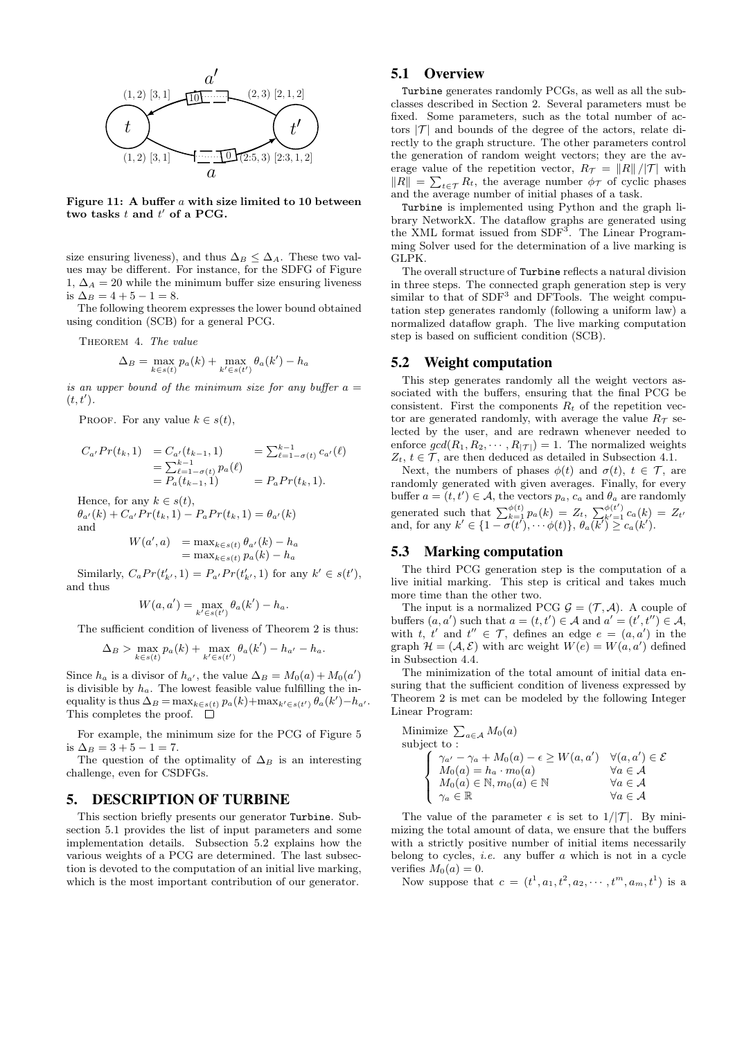

Figure 11: A buffer a with size limited to 10 between two tasks  $t$  and  $t'$  of a PCG.

size ensuring liveness), and thus  $\Delta_B \leq \Delta_A$ . These two values may be different. For instance, for the SDFG of Figure 1,  $\Delta_A = 20$  while the minimum buffer size ensuring liveness is  $\Delta_B = 4 + 5 - 1 = 8$ .

The following theorem expresses the lower bound obtained using condition (SCB) for a general PCG.

THEOREM 4. The value

$$
\Delta_B = \max_{k \in s(t)} p_a(k) + \max_{k' \in s(t')} \theta_a(k') - h_a
$$

is an upper bound of the minimum size for any buffer  $a =$  $(t, t^{\prime}).$ 

PROOF. For any value  $k \in s(t)$ ,

$$
C_{a'}Pr(t_k, 1) = C_{a'}(t_{k-1}, 1) = \sum_{\ell=1-\sigma(t)}^{k-1} p_a(\ell)
$$
  
=  $\sum_{\ell=1-\sigma(t)}^{k-1} p_a(\ell)$   
=  $P_a(t_{k-1}, 1) = P_a Pr(t_k, 1).$ 

Hence, for any  $k \in s(t)$ ,  $\theta_{a}(k) + C_{a'}Pr(t_k, 1) - P_a Pr(t_k, 1) = \theta_{a'}(k)$ and

$$
W(a', a) = \max_{k \in s(t)} \theta_{a'}(k) - h_a
$$
  
= 
$$
\max_{k \in s(t)} p_a(k) - h_a
$$

Similarly,  $C_a Pr(t'_{k'}, 1) = P_{a'} Pr(t'_{k'}, 1)$  for any  $k' \in s(t')$ , and thus

$$
W(a, a') = \max_{k' \in s(t')} \theta_a(k') - h_a.
$$

The sufficient condition of liveness of Theorem 2 is thus:

$$
\Delta_B > \max_{k \in s(t)} p_a(k) + \max_{k' \in s(t')} \theta_a(k') - h_{a'} - h_a.
$$

Since  $h_a$  is a divisor of  $h_{a'}$ , the value  $\Delta_B = M_0(a) + M_0(a')$ is divisible by  $h_a$ . The lowest feasible value fulfilling the inequality is thus  $\Delta_B = \max_{k \in s(t)} p_a(k) + \max_{k' \in s(t')} \theta_a(k') - h_{a'}$ . This completes the proof.  $\Box$ 

For example, the minimum size for the PCG of Figure 5 is  $\Delta_B = 3 + 5 - 1 = 7$ .

The question of the optimality of  $\Delta_B$  is an interesting challenge, even for CSDFGs.

#### 5. DESCRIPTION OF TURBINE

This section briefly presents our generator Turbine. Subsection 5.1 provides the list of input parameters and some implementation details. Subsection 5.2 explains how the various weights of a PCG are determined. The last subsection is devoted to the computation of an initial live marking, which is the most important contribution of our generator.

## 5.1 Overview

Turbine generates randomly PCGs, as well as all the subclasses described in Section 2. Several parameters must be fixed. Some parameters, such as the total number of actors  $|\mathcal{T}|$  and bounds of the degree of the actors, relate directly to the graph structure. The other parameters control the generation of random weight vectors; they are the average value of the repetition vector,  $R_{\mathcal{T}} = ||R|| / |\mathcal{T}|$  with  $||R|| = \sum_{t \in \mathcal{T}} R_t$ , the average number  $\phi_{\mathcal{T}}$  of cyclic phases and the average number of initial phases of a task.

Turbine is implemented using Python and the graph library NetworkX. The dataflow graphs are generated using the XML format issued from SDF<sup>3</sup>. The Linear Programming Solver used for the determination of a live marking is GLPK.

The overall structure of Turbine reflects a natural division in three steps. The connected graph generation step is very similar to that of  $SDF<sup>3</sup>$  and DFTools. The weight computation step generates randomly (following a uniform law) a normalized dataflow graph. The live marking computation step is based on sufficient condition (SCB).

#### 5.2 Weight computation

This step generates randomly all the weight vectors associated with the buffers, ensuring that the final PCG be consistent. First the components  $R_t$  of the repetition vector are generated randomly, with average the value  $R_{\tau}$  selected by the user, and are redrawn whenever needed to enforce  $gcd(R_1, R_2, \dots, R_{|\mathcal{T}|}) = 1$ . The normalized weights  $Z_t, t \in \mathcal{T}$ , are then deduced as detailed in Subsection 4.1.

Next, the numbers of phases  $\phi(t)$  and  $\sigma(t)$ ,  $t \in \mathcal{T}$ , are randomly generated with given averages. Finally, for every buffer  $a = (t, t') \in \mathcal{A}$ , the vectors  $p_a$ ,  $c_a$  and  $\theta_a$  are randomly generated such that  $\sum_{k=1}^{\phi(t)} p_a(k) = Z_t$ ,  $\sum_{k'=1}^{\phi(t')} c_a(k) = Z_t$ <br>and, for any  $k' \in \{1 - \sigma(t'), \cdots \phi(t)\}$ ,  $\theta_a(k') \ge c_a(k')$ .

#### 5.3 Marking computation

The third PCG generation step is the computation of a live initial marking. This step is critical and takes much more time than the other two.

The input is a normalized PCG  $\mathcal{G} = (\mathcal{T}, \mathcal{A})$ . A couple of buffers  $(a, a')$  such that  $a = (t, t') \in A$  and  $a' = (t', t'') \in A$ , with t, t' and  $t'' \in \mathcal{T}$ , defines an edge  $e = (a, a')$  in the graph  $\mathcal{H} = (\mathcal{A}, \mathcal{E})$  with arc weight  $W(e) = W(a, a')$  defined in Subsection 4.4.

The minimization of the total amount of initial data ensuring that the sufficient condition of liveness expressed by Theorem 2 is met can be modeled by the following Integer Linear Program:

Minimize 
$$
\sum_{a \in A} M_0(a)
$$
  
\nsubject to :  
\n
$$
\begin{cases}\n\gamma_{a'} - \gamma_a + M_0(a) - \epsilon \ge W(a, a') & \forall (a, a') \in \mathcal{E} \\
M_0(a) = h_a \cdot m_0(a) & \forall a \in \mathcal{A} \\
M_0(a) \in \mathbb{N}, m_0(a) \in \mathbb{N} & \forall a \in \mathcal{A} \\
\gamma_a \in \mathbb{R} & \forall a \in \mathcal{A}\n\end{cases}
$$

The value of the parameter  $\epsilon$  is set to  $1/|\mathcal{T}|$ . By minimizing the total amount of data, we ensure that the buffers with a strictly positive number of initial items necessarily belong to cycles, *i.e.* any buffer  $a$  which is not in a cycle verifies  $M_0(a) = 0$ .

Now suppose that  $c = (t^1, a_1, t^2, a_2, \dots, t^m, a_m, t^1)$  is a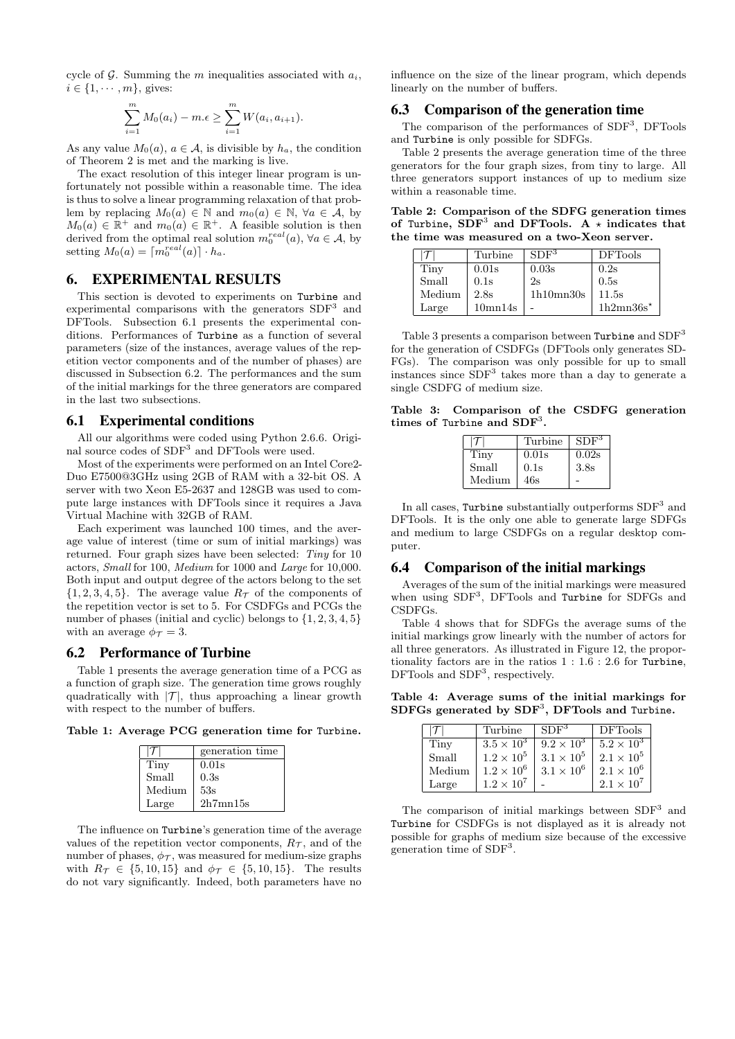cycle of  $G$ . Summing the m inequalities associated with  $a_i$ ,  $i \in \{1, \cdots, m\}$ , gives:

$$
\sum_{i=1}^{m} M_0(a_i) - m \epsilon \ge \sum_{i=1}^{m} W(a_i, a_{i+1}).
$$

As any value  $M_0(a)$ ,  $a \in \mathcal{A}$ , is divisible by  $h_a$ , the condition of Theorem 2 is met and the marking is live.

The exact resolution of this integer linear program is unfortunately not possible within a reasonable time. The idea is thus to solve a linear programming relaxation of that problem by replacing  $M_0(a) \in \mathbb{N}$  and  $m_0(a) \in \mathbb{N}$ ,  $\forall a \in \mathcal{A}$ , by  $M_0(a) \in \mathbb{R}^+$  and  $m_0(a) \in \mathbb{R}^+$ . A feasible solution is then derived from the optimal real solution  $m_0^{real}(a)$ ,  $\forall a \in \mathcal{A}$ , by setting  $M_0(a) = \lceil m_0^{real}(a) \rceil \cdot h_a$ .

#### 6. EXPERIMENTAL RESULTS

This section is devoted to experiments on Turbine and experimental comparisons with the generators  $SDF<sup>3</sup>$  and DFTools. Subsection 6.1 presents the experimental conditions. Performances of Turbine as a function of several parameters (size of the instances, average values of the repetition vector components and of the number of phases) are discussed in Subsection 6.2. The performances and the sum of the initial markings for the three generators are compared in the last two subsections.

#### 6.1 Experimental conditions

All our algorithms were coded using Python 2.6.6. Original source codes of  $SDF^3$  and DFTools were used.

Most of the experiments were performed on an Intel Core2- Duo E7500@3GHz using 2GB of RAM with a 32-bit OS. A server with two Xeon E5-2637 and 128GB was used to compute large instances with DFTools since it requires a Java Virtual Machine with 32GB of RAM.

Each experiment was launched 100 times, and the average value of interest (time or sum of initial markings) was returned. Four graph sizes have been selected: Tiny for 10 actors, Small for 100, Medium for 1000 and Large for 10,000. Both input and output degree of the actors belong to the set  $\{1, 2, 3, 4, 5\}$ . The average value  $R_{\mathcal{T}}$  of the components of the repetition vector is set to 5. For CSDFGs and PCGs the number of phases (initial and cyclic) belongs to  $\{1, 2, 3, 4, 5\}$ with an average  $\phi_{\mathcal{T}} = 3$ .

#### 6.2 Performance of Turbine

Table 1 presents the average generation time of a PCG as a function of graph size. The generation time grows roughly quadratically with  $|\mathcal{T}|$ , thus approaching a linear growth with respect to the number of buffers.

Table 1: Average PCG generation time for Turbine.

|        | generation time |
|--------|-----------------|
| Tiny   | 0.01s           |
| Small  | 0.3s            |
| Medium | 53s             |
| Large  | 2h7mn15s        |

The influence on Turbine's generation time of the average values of the repetition vector components,  $R_{\mathcal{T}}$ , and of the number of phases,  $\phi_{\tau}$ , was measured for medium-size graphs with  $R_{\mathcal{T}} \in \{5, 10, 15\}$  and  $\phi_{\mathcal{T}} \in \{5, 10, 15\}$ . The results do not vary significantly. Indeed, both parameters have no

influence on the size of the linear program, which depends linearly on the number of buffers.

#### 6.3 Comparison of the generation time

The comparison of the performances of SDF<sup>3</sup>, DFTools and Turbine is only possible for SDFGs.

Table 2 presents the average generation time of the three generators for the four graph sizes, from tiny to large. All three generators support instances of up to medium size within a reasonable time.

Table 2: Comparison of the SDFG generation times of Turbine,  $S\overline{D}F^3$  and DFTools. A  $\times$  indicates that the time was measured on a two-Xeon server.

|        | Turbine | SDF <sup>3</sup> | <b>DFTools</b> |
|--------|---------|------------------|----------------|
| Tiny   | 0.01s   | 0.03s            | 0.2s           |
| Small  | 0.1s    | 2s               | 0.5s           |
| Medium | 2.8s    | 1h10mn30s        | 11.5s          |
| Large  | 10mn14s |                  | $1h2mn36s*$    |

Table 3 presents a comparison between Turbine and  $SDF<sup>3</sup>$ for the generation of CSDFGs (DFTools only generates SD-FGs). The comparison was only possible for up to small instances since SDF<sup>3</sup> takes more than a day to generate a single CSDFG of medium size.

Table 3: Comparison of the CSDFG generation times of Turbine and  ${\rm SDF}^3$ .

| 7      | Turbine | SDF <sup>3</sup> |
|--------|---------|------------------|
| Tiny   | 0.01s   | 0.02s            |
| Small  | 0.1s    | 3.8s             |
| Medium | 46s     |                  |

In all cases,  $Turbine$  substantially outperforms  $SDF<sup>3</sup>$  and DFTools. It is the only one able to generate large SDFGs and medium to large CSDFGs on a regular desktop computer.

#### 6.4 Comparison of the initial markings

Averages of the sum of the initial markings were measured when using SDF<sup>3</sup>, DFTools and Turbine for SDFGs and CSDFGs.

Table 4 shows that for SDFGs the average sums of the initial markings grow linearly with the number of actors for all three generators. As illustrated in Figure 12, the proportionality factors are in the ratios 1 : 1.6 : 2.6 for Turbine, DFTools and SDF<sup>3</sup>, respectively.

Table 4: Average sums of the initial markings for SDFGs generated by SDF<sup>3</sup>, DFTools and Turbine.

| T      | Turbine             | SDF <sup>3</sup>  | <b>DFTools</b>      |
|--------|---------------------|-------------------|---------------------|
| Tiny   | $3.5 \times 10^{3}$ | $9.2 \times 10^3$ | $5.2 \times 10^{3}$ |
| Small  | $1.2 \times 10^5$   | $3.1 \times 10^5$ | $2.1 \times 10^5$   |
| Medium | $1.2 \times 10^{6}$ | $3.1 \times 10^6$ | $2.1 \times 10^6$   |
| Large  | $1.2 \times 10^7$   |                   | $2.1 \times 10^{7}$ |

The comparison of initial markings between  $SDF<sup>3</sup>$  and Turbine for CSDFGs is not displayed as it is already not possible for graphs of medium size because of the excessive generation time of SDF<sup>3</sup> .